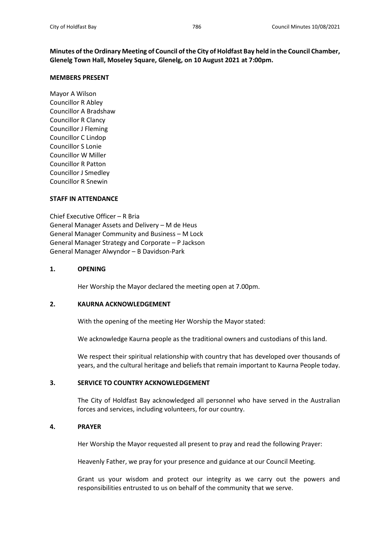**Minutes of the Ordinary Meeting of Council of the City of Holdfast Bay held in the Council Chamber, Glenelg Town Hall, Moseley Square, Glenelg, on 10 August 2021 at 7:00pm.**

### **MEMBERS PRESENT**

Mayor A Wilson Councillor R Abley Councillor A Bradshaw Councillor R Clancy Councillor J Fleming Councillor C Lindop Councillor S Lonie Councillor W Miller Councillor R Patton Councillor J Smedley Councillor R Snewin

### **STAFF IN ATTENDANCE**

Chief Executive Officer – R Bria General Manager Assets and Delivery – M de Heus General Manager Community and Business – M Lock General Manager Strategy and Corporate – P Jackson General Manager Alwyndor – B Davidson-Park

### **1. OPENING**

Her Worship the Mayor declared the meeting open at 7.00pm.

### **2. KAURNA ACKNOWLEDGEMENT**

With the opening of the meeting Her Worship the Mayor stated:

We acknowledge Kaurna people as the traditional owners and custodians of this land.

We respect their spiritual relationship with country that has developed over thousands of years, and the cultural heritage and beliefs that remain important to Kaurna People today.

# **3. SERVICE TO COUNTRY ACKNOWLEDGEMENT**

The City of Holdfast Bay acknowledged all personnel who have served in the Australian forces and services, including volunteers, for our country.

### **4. PRAYER**

Her Worship the Mayor requested all present to pray and read the following Prayer:

Heavenly Father, we pray for your presence and guidance at our Council Meeting.

Grant us your wisdom and protect our integrity as we carry out the powers and responsibilities entrusted to us on behalf of the community that we serve.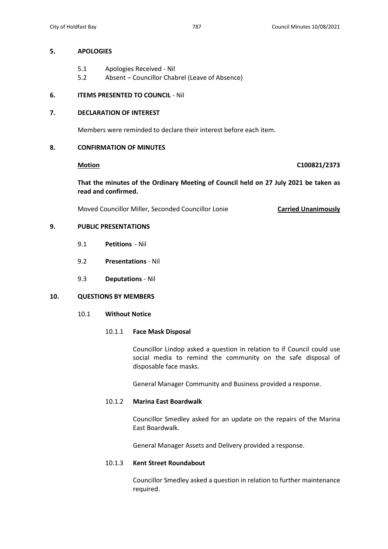### **5. APOLOGIES**

- 5.1 Apologies Received Nil
- 5.2 Absent Councillor Chabrel (Leave of Absence)

# **6. ITEMS PRESENTED TO COUNCIL** - Nil

# **7. DECLARATION OF INTEREST**

Members were reminded to declare their interest before each item.

# **8. CONFIRMATION OF MINUTES**

## **Motion C100821/2373**

**That the minutes of the Ordinary Meeting of Council held on 27 July 2021 be taken as read and confirmed.**

Moved Councillor Miller, Seconded Councillor Lonie **Carried Unanimously**

# **9. PUBLIC PRESENTATIONS**

- 9.1 **Petitions** Nil
- 9.2 **Presentations** Nil
- 9.3 **Deputations** Nil

# **10. QUESTIONS BY MEMBERS**

10.1 **Without Notice**

### 10.1.1 **Face Mask Disposal**

Councillor Lindop asked a question in relation to if Council could use social media to remind the community on the safe disposal of disposable face masks.

General Manager Community and Business provided a response.

### 10.1.2 **Marina East Boardwalk**

Councillor Smedley asked for an update on the repairs of the Marina East Boardwalk.

General Manager Assets and Delivery provided a response.

### 10.1.3 **Kent Street Roundabout**

Councillor Smedley asked a question in relation to further maintenance required.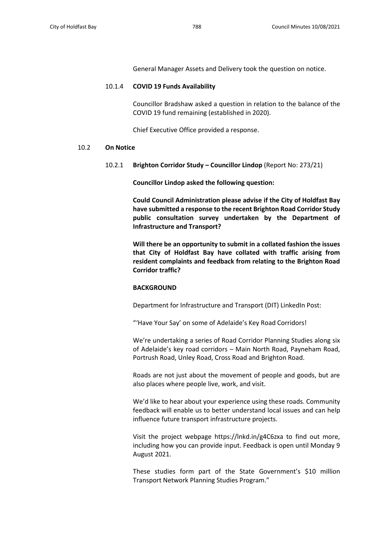General Manager Assets and Delivery took the question on notice.

### 10.1.4 **COVID 19 Funds Availability**

Councillor Bradshaw asked a question in relation to the balance of the COVID 19 fund remaining (established in 2020).

Chief Executive Office provided a response.

### 10.2 **On Notice**

10.2.1 **Brighton Corridor Study – Councillor Lindop** (Report No: 273/21)

**Councillor Lindop asked the following question:**

**Could Council Administration please advise if the City of Holdfast Bay have submitted a response to the recent Brighton Road Corridor Study public consultation survey undertaken by the Department of Infrastructure and Transport?** 

**Will there be an opportunity to submit in a collated fashion the issues that City of Holdfast Bay have collated with traffic arising from resident complaints and feedback from relating to the Brighton Road Corridor traffic?**

### **BACKGROUND**

Department for Infrastructure and Transport (DIT) LinkedIn Post:

"'Have Your Say' on some of Adelaide's Key Road Corridors!

We're undertaking a series of Road Corridor Planning Studies along six of Adelaide's key road corridors – Main North Road, Payneham Road, Portrush Road, Unley Road, Cross Road and Brighton Road.

Roads are not just about the movement of people and goods, but are also places where people live, work, and visit.

We'd like to hear about your experience using these roads. Community feedback will enable us to better understand local issues and can help influence future transport infrastructure projects.

Visit the project webpage https://lnkd.in/g4C6zxa to find out more, including how you can provide input. Feedback is open until Monday 9 August 2021.

These studies form part of the State Government's \$10 million Transport Network Planning Studies Program."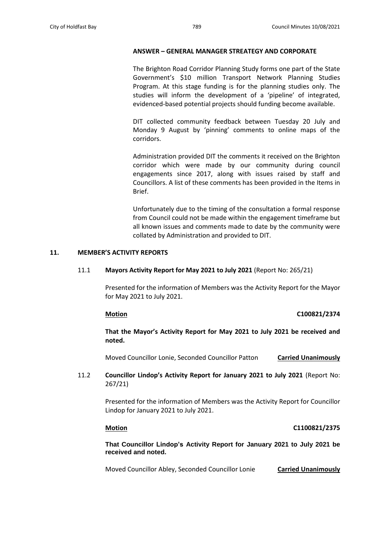### **ANSWER – GENERAL MANAGER STREATEGY AND CORPORATE**

The Brighton Road Corridor Planning Study forms one part of the State Government's \$10 million Transport Network Planning Studies Program. At this stage funding is for the planning studies only. The studies will inform the development of a 'pipeline' of integrated, evidenced-based potential projects should funding become available.

DIT collected community feedback between Tuesday 20 July and Monday 9 August by 'pinning' comments to online maps of the corridors.

Administration provided DIT the comments it received on the Brighton corridor which were made by our community during council engagements since 2017, along with issues raised by staff and Councillors. A list of these comments has been provided in the Items in Brief.

Unfortunately due to the timing of the consultation a formal response from Council could not be made within the engagement timeframe but all known issues and comments made to date by the community were collated by Administration and provided to DIT.

### **11. MEMBER'S ACTIVITY REPORTS**

### 11.1 **Mayors Activity Report for May 2021 to July 2021** (Report No: 265/21)

Presented for the information of Members was the Activity Report for the Mayor for May 2021 to July 2021.

### **Motion C100821/2374**

**That the Mayor's Activity Report for May 2021 to July 2021 be received and noted.**

Moved Councillor Lonie, Seconded Councillor Patton **Carried Unanimously**

11.2 **Councillor Lindop's Activity Report for January 2021 to July 2021** (Report No: 267/21)

> Presented for the information of Members was the Activity Report for Councillor Lindop for January 2021 to July 2021.

### **Motion C1100821/2375**

**That Councillor Lindop's Activity Report for January 2021 to July 2021 be received and noted.**

Moved Councillor Abley, Seconded Councillor Lonie **Carried Unanimously**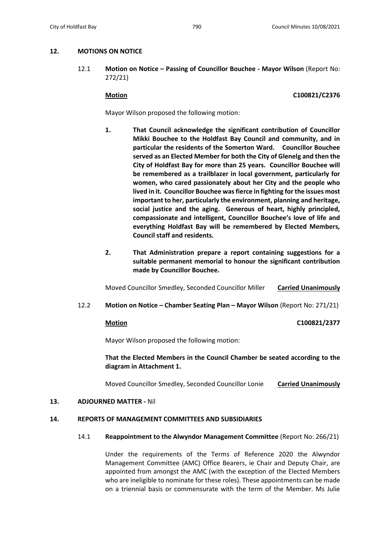# **12. MOTIONS ON NOTICE**

12.1 **Motion on Notice – Passing of Councillor Bouchee - Mayor Wilson** (Report No: 272/21)

**Motion C100821/C2376**

Mayor Wilson proposed the following motion:

- **1. That Council acknowledge the significant contribution of Councillor Mikki Bouchee to the Holdfast Bay Council and community, and in particular the residents of the Somerton Ward. Councillor Bouchee served as an Elected Member for both the City of Glenelg and then the City of Holdfast Bay for more than 25 years. Councillor Bouchee will be remembered as a trailblazer in local government, particularly for women, who cared passionately about her City and the people who lived in it. Councillor Bouchee was fierce in fighting for the issues most important to her, particularly the environment, planning and heritage, social justice and the aging. Generous of heart, highly principled, compassionate and intelligent, Councillor Bouchee's love of life and everything Holdfast Bay will be remembered by Elected Members, Council staff and residents.**
- **2. That Administration prepare a report containing suggestions for a suitable permanent memorial to honour the significant contribution made by Councillor Bouchee.**

Moved Councillor Smedley, Seconded Councillor Miller **Carried Unanimously**

12.2 **Motion on Notice – Chamber Seating Plan – Mayor Wilson** (Report No: 271/21)

**Motion C100821/2377**

Mayor Wilson proposed the following motion:

# **That the Elected Members in the Council Chamber be seated according to the diagram in Attachment 1.**

Moved Councillor Smedley, Seconded Councillor Lonie **Carried Unanimously**

# **13. ADJOURNED MATTER -** Nil

# **14. REPORTS OF MANAGEMENT COMMITTEES AND SUBSIDIARIES**

# 14.1 **Reappointment to the Alwyndor Management Committee** (Report No: 266/21)

Under the requirements of the Terms of Reference 2020 the Alwyndor Management Committee (AMC) Office Bearers, ie Chair and Deputy Chair, are appointed from amongst the AMC (with the exception of the Elected Members who are ineligible to nominate for these roles). These appointments can be made on a triennial basis or commensurate with the term of the Member. Ms Julie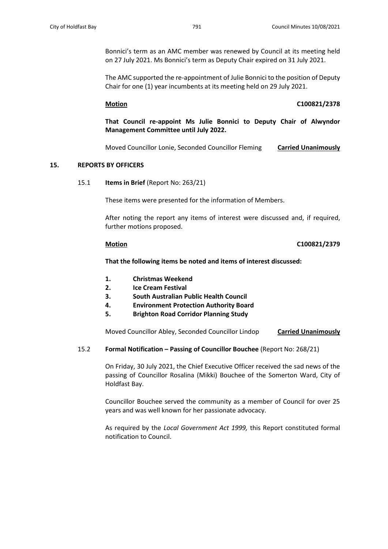Bonnici's term as an AMC member was renewed by Council at its meeting held on 27 July 2021. Ms Bonnici's term as Deputy Chair expired on 31 July 2021.

The AMC supported the re-appointment of Julie Bonnici to the position of Deputy Chair for one (1) year incumbents at its meeting held on 29 July 2021.

### **Motion C100821/2378**

**That Council re-appoint Ms Julie Bonnici to Deputy Chair of Alwyndor Management Committee until July 2022.**

Moved Councillor Lonie, Seconded Councillor Fleming **Carried Unanimously**

### **15. REPORTS BY OFFICERS**

15.1 **Items in Brief** (Report No: 263/21)

These items were presented for the information of Members.

After noting the report any items of interest were discussed and, if required, further motions proposed.

## **Motion C100821/2379**

**That the following items be noted and items of interest discussed:** 

- **1. Christmas Weekend**
- **2. Ice Cream Festival**
- **3. South Australian Public Health Council**
- **4. Environment Protection Authority Board**
- **5. Brighton Road Corridor Planning Study**

Moved Councillor Abley, Seconded Councillor Lindop **Carried Unanimously**

### 15.2 **Formal Notification – Passing of Councillor Bouchee** (Report No: 268/21)

On Friday, 30 July 2021, the Chief Executive Officer received the sad news of the passing of Councillor Rosalina (Mikki) Bouchee of the Somerton Ward, City of Holdfast Bay.

Councillor Bouchee served the community as a member of Council for over 25 years and was well known for her passionate advocacy.

As required by the *Local Government Act 1999,* this Report constituted formal notification to Council.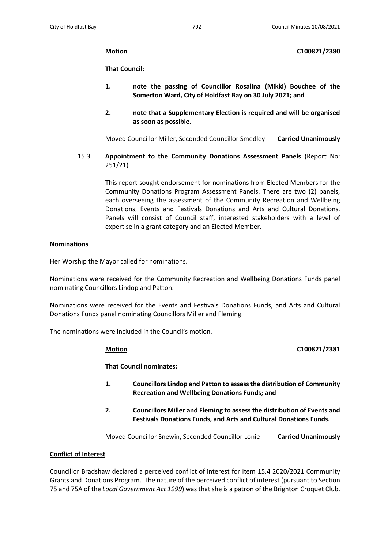# **Motion C100821/2380**

# **That Council:**

- **1. note the passing of Councillor Rosalina (Mikki) Bouchee of the Somerton Ward, City of Holdfast Bay on 30 July 2021; and**
- **2. note that a Supplementary Election is required and will be organised as soon as possible.**

Moved Councillor Miller, Seconded Councillor Smedley **Carried Unanimously**

15.3 **Appointment to the Community Donations Assessment Panels** (Report No: 251/21)

> This report sought endorsement for nominations from Elected Members for the Community Donations Program Assessment Panels. There are two (2) panels, each overseeing the assessment of the Community Recreation and Wellbeing Donations, Events and Festivals Donations and Arts and Cultural Donations. Panels will consist of Council staff, interested stakeholders with a level of expertise in a grant category and an Elected Member.

## **Nominations**

Her Worship the Mayor called for nominations.

Nominations were received for the Community Recreation and Wellbeing Donations Funds panel nominating Councillors Lindop and Patton.

Nominations were received for the Events and Festivals Donations Funds, and Arts and Cultural Donations Funds panel nominating Councillors Miller and Fleming.

The nominations were included in the Council's motion.

### **Motion C100821/2381**

**That Council nominates:** 

- **1. Councillors Lindop and Patton to assess the distribution of Community Recreation and Wellbeing Donations Funds; and**
- **2. Councillors Miller and Fleming to assess the distribution of Events and Festivals Donations Funds, and Arts and Cultural Donations Funds.**

Moved Councillor Snewin, Seconded Councillor Lonie **Carried Unanimously**

# **Conflict of Interest**

Councillor Bradshaw declared a perceived conflict of interest for Item 15.4 2020/2021 Community Grants and Donations Program. The nature of the perceived conflict of interest (pursuant to Section 75 and 75A of the *Local Government Act 1999*) was that she is a patron of the Brighton Croquet Club.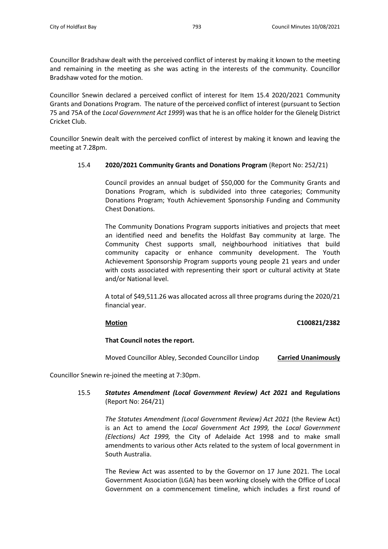Councillor Bradshaw dealt with the perceived conflict of interest by making it known to the meeting and remaining in the meeting as she was acting in the interests of the community. Councillor Bradshaw voted for the motion.

Councillor Snewin declared a perceived conflict of interest for Item 15.4 2020/2021 Community Grants and Donations Program. The nature of the perceived conflict of interest (pursuant to Section 75 and 75A of the *Local Government Act 1999*) was that he is an office holder for the Glenelg District Cricket Club.

Councillor Snewin dealt with the perceived conflict of interest by making it known and leaving the meeting at 7.28pm.

## 15.4 **2020/2021 Community Grants and Donations Program** (Report No: 252/21)

Council provides an annual budget of \$50,000 for the Community Grants and Donations Program, which is subdivided into three categories; Community Donations Program; Youth Achievement Sponsorship Funding and Community Chest Donations.

The Community Donations Program supports initiatives and projects that meet an identified need and benefits the Holdfast Bay community at large. The Community Chest supports small, neighbourhood initiatives that build community capacity or enhance community development. The Youth Achievement Sponsorship Program supports young people 21 years and under with costs associated with representing their sport or cultural activity at State and/or National level.

A total of \$49,511.26 was allocated across all three programs during the 2020/21 financial year.

**Motion C100821/2382**

### **That Council notes the report.**

Moved Councillor Abley, Seconded Councillor Lindop **Carried Unanimously**

Councillor Snewin re-joined the meeting at 7:30pm.

# 15.5 *Statutes Amendment (Local Government Review) Act 2021* **and Regulations** (Report No: 264/21)

*The Statutes Amendment (Local Government Review) Act 2021* (the Review Act) is an Act to amend the *Local Government Act 1999,* the *Local Government (Elections) Act 1999,* the City of Adelaide Act 1998 and to make small amendments to various other Acts related to the system of local government in South Australia.

The Review Act was assented to by the Governor on 17 June 2021. The Local Government Association (LGA) has been working closely with the Office of Local Government on a commencement timeline, which includes a first round of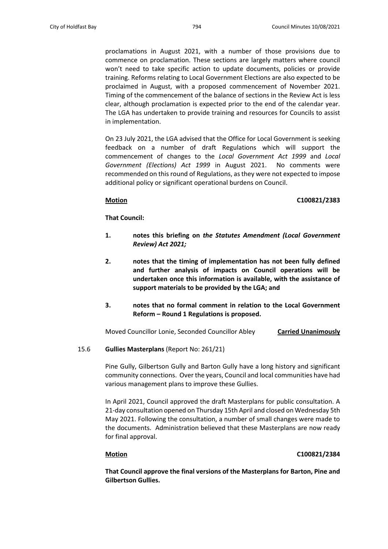proclamations in August 2021, with a number of those provisions due to commence on proclamation. These sections are largely matters where council won't need to take specific action to update documents, policies or provide training. Reforms relating to Local Government Elections are also expected to be proclaimed in August, with a proposed commencement of November 2021. Timing of the commencement of the balance of sections in the Review Act is less clear, although proclamation is expected prior to the end of the calendar year. The LGA has undertaken to provide training and resources for Councils to assist in implementation.

On 23 July 2021, the LGA advised that the Office for Local Government is seeking feedback on a number of draft Regulations which will support the commencement of changes to the *Local Government Act 1999* and *Local Government (Elections) Act 1999* in August 2021. No comments were recommended on this round of Regulations, as they were not expected to impose additional policy or significant operational burdens on Council.

### **Motion C100821/2383**

## **That Council:**

- **1. notes this briefing on** *the Statutes Amendment (Local Government Review) Act 2021;*
- **2. notes that the timing of implementation has not been fully defined and further analysis of impacts on Council operations will be undertaken once this information is available, with the assistance of support materials to be provided by the LGA; and**
- **3. notes that no formal comment in relation to the Local Government Reform – Round 1 Regulations is proposed.**

Moved Councillor Lonie, Seconded Councillor Abley **Carried Unanimously**

# 15.6 **Gullies Masterplans** (Report No: 261/21)

Pine Gully, Gilbertson Gully and Barton Gully have a long history and significant community connections. Over the years, Council and local communities have had various management plans to improve these Gullies.

In April 2021, Council approved the draft Masterplans for public consultation. A 21-day consultation opened on Thursday 15th April and closed on Wednesday 5th May 2021. Following the consultation, a number of small changes were made to the documents. Administration believed that these Masterplans are now ready for final approval.

### **Motion C100821/2384**

**That Council approve the final versions of the Masterplans for Barton, Pine and Gilbertson Gullies.**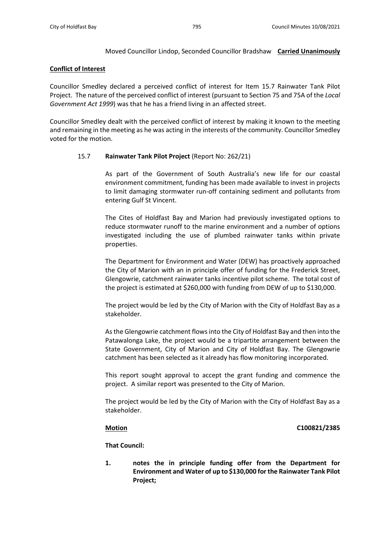# Moved Councillor Lindop, Seconded Councillor Bradshaw **Carried Unanimously**

# **Conflict of Interest**

Councillor Smedley declared a perceived conflict of interest for Item 15.7 Rainwater Tank Pilot Project. The nature of the perceived conflict of interest (pursuant to Section 75 and 75A of the *Local Government Act 1999*) was that he has a friend living in an affected street.

Councillor Smedley dealt with the perceived conflict of interest by making it known to the meeting and remaining in the meeting as he was acting in the interests of the community. Councillor Smedley voted for the motion.

# 15.7 **Rainwater Tank Pilot Project** (Report No: 262/21)

As part of the Government of South Australia's new life for our coastal environment commitment, funding has been made available to invest in projects to limit damaging stormwater run-off containing sediment and pollutants from entering Gulf St Vincent.

The Cites of Holdfast Bay and Marion had previously investigated options to reduce stormwater runoff to the marine environment and a number of options investigated including the use of plumbed rainwater tanks within private properties.

The Department for Environment and Water (DEW) has proactively approached the City of Marion with an in principle offer of funding for the Frederick Street, Glengowrie, catchment rainwater tanks incentive pilot scheme. The total cost of the project is estimated at \$260,000 with funding from DEW of up to \$130,000.

The project would be led by the City of Marion with the City of Holdfast Bay as a stakeholder.

As the Glengowrie catchment flows into the City of Holdfast Bay and then into the Patawalonga Lake, the project would be a tripartite arrangement between the State Government, City of Marion and City of Holdfast Bay. The Glengowrie catchment has been selected as it already has flow monitoring incorporated.

This report sought approval to accept the grant funding and commence the project. A similar report was presented to the City of Marion.

The project would be led by the City of Marion with the City of Holdfast Bay as a stakeholder.

# **Motion C100821/2385**

**That Council:**

**1. notes the in principle funding offer from the Department for Environment and Water of up to \$130,000 for the Rainwater Tank Pilot Project;**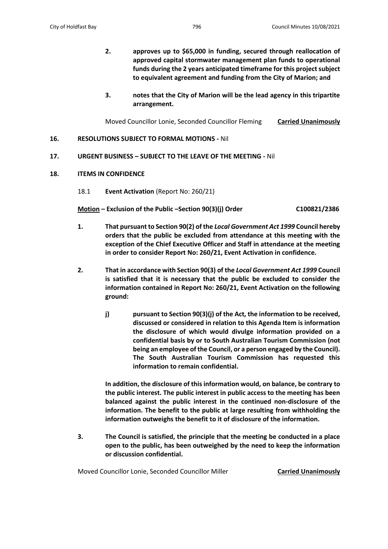- **2. approves up to \$65,000 in funding, secured through reallocation of approved capital stormwater management plan funds to operational funds during the 2 years anticipated timeframe for this project subject to equivalent agreement and funding from the City of Marion; and**
- **3. notes that the City of Marion will be the lead agency in this tripartite arrangement.**

Moved Councillor Lonie, Seconded Councillor Fleming **Carried Unanimously**

- **16. RESOLUTIONS SUBJECT TO FORMAL MOTIONS -** Nil
- **17. URGENT BUSINESS – SUBJECT TO THE LEAVE OF THE MEETING -** Nil
- **18. ITEMS IN CONFIDENCE**
	- 18.1 **Event Activation** (Report No: 260/21)

**Motion – Exclusion of the Public –Section 90(3)(j) Order C100821/2386**

- **1. That pursuant to Section 90(2) of the** *Local Government Act 1999* **Council hereby orders that the public be excluded from attendance at this meeting with the exception of the Chief Executive Officer and Staff in attendance at the meeting in order to consider Report No: 260/21, Event Activation in confidence.**
- **2. That in accordance with Section 90(3) of the** *Local Government Act 1999* **Council is satisfied that it is necessary that the public be excluded to consider the information contained in Report No: 260/21, Event Activation on the following ground:**
	- **j) pursuant to Section 90(3)(j) of the Act, the information to be received, discussed or considered in relation to this Agenda Item is information the disclosure of which would divulge information provided on a confidential basis by or to South Australian Tourism Commission (not being an employee of the Council, or a person engaged by the Council). The South Australian Tourism Commission has requested this information to remain confidential.**

**In addition, the disclosure of this information would, on balance, be contrary to the public interest. The public interest in public access to the meeting has been balanced against the public interest in the continued non-disclosure of the information. The benefit to the public at large resulting from withholding the information outweighs the benefit to it of disclosure of the information.** 

**3. The Council is satisfied, the principle that the meeting be conducted in a place open to the public, has been outweighed by the need to keep the information or discussion confidential.**

Moved Councillor Lonie, Seconded Councillor Miller **Carried Unanimously**